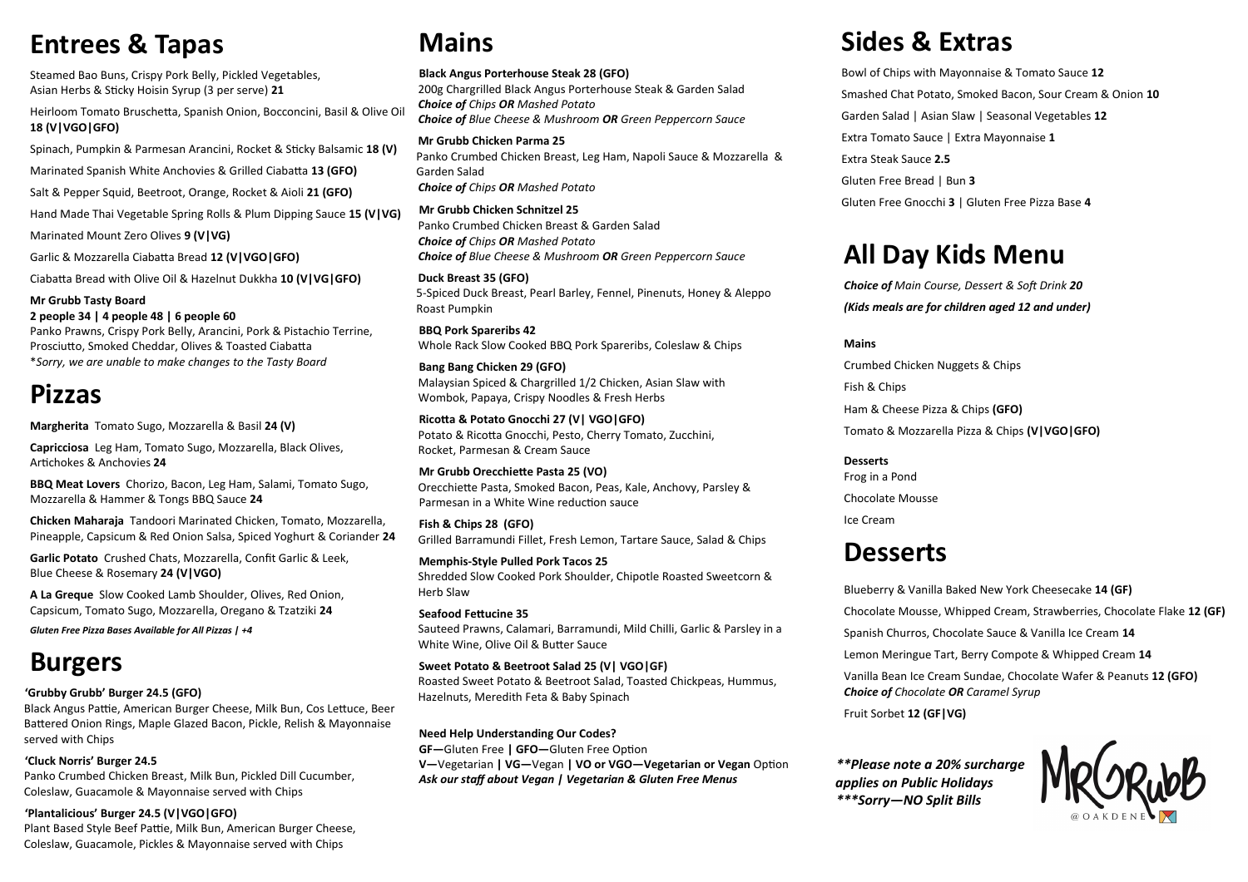# **Mains**

#### **Black Angus Porterhouse Steak 28 (GFO)**

200g Chargrilled Black Angus Porterhouse Steak & Garden Salad *Choice of Chips OR Mashed Potato Choice of Blue Cheese & Mushroom OR Green Peppercorn Sauce*

**Mr Grubb Chicken Parma 25** Panko Crumbed Chicken Breast, Leg Ham, Napoli Sauce & Mozzarella & Garden Salad *Choice of Chips OR Mashed Potato*

**Mr Grubb Chicken Schnitzel 25** Panko Crumbed Chicken Breast & Garden Salad *Choice of Chips OR Mashed Potato Choice of Blue Cheese & Mushroom OR Green Peppercorn Sauce*

**Duck Breast 35 (GFO)** 5-Spiced Duck Breast, Pearl Barley, Fennel, Pinenuts, Honey & Aleppo Roast Pumpkin

**BBQ Pork Spareribs 42** Whole Rack Slow Cooked BBQ Pork Spareribs, Coleslaw & Chips

**Bang Bang Chicken 29 (GFO)** Malaysian Spiced & Chargrilled 1/2 Chicken, Asian Slaw with Wombok, Papaya, Crispy Noodles & Fresh Herbs

**Ricotta & Potato Gnocchi 27 (V| VGO|GFO)** Potato & Ricotta Gnocchi, Pesto, Cherry Tomato, Zucchini, Rocket, Parmesan & Cream Sauce

**Mr Grubb Orecchiette Pasta 25 (VO)**  Orecchiette Pasta, Smoked Bacon, Peas, Kale, Anchovy, Parsley & Parmesan in a White Wine reduction sauce

**Fish & Chips 28 (GFO)** Grilled Barramundi Fillet, Fresh Lemon, Tartare Sauce, Salad & Chips

**Memphis-Style Pulled Pork Tacos 25** Shredded Slow Cooked Pork Shoulder, Chipotle Roasted Sweetcorn & Herb Slaw

**Seafood Fettucine 35** Sauteed Prawns, Calamari, Barramundi, Mild Chilli, Garlic & Parsley in a White Wine, Olive Oil & Butter Sauce

**Sweet Potato & Beetroot Salad 25 (V| VGO|GF)**  Roasted Sweet Potato & Beetroot Salad, Toasted Chickpeas, Hummus, Hazelnuts, Meredith Feta & Baby Spinach

**Need Help Understanding Our Codes? GF—**Gluten Free **| GFO—**Gluten Free Option **V—**Vegetarian **| VG—**Vegan **| VO or VGO—Vegetarian or Vegan** Option *Ask our staff about Vegan | Vegetarian & Gluten Free Menus*

# **Entrees & Tapas**

Steamed Bao Buns, Crispy Pork Belly, Pickled Vegetables, Asian Herbs & Sticky Hoisin Syrup (3 per serve) **21**

Heirloom Tomato Bruschetta, Spanish Onion, Bocconcini, Basil & Olive Oil **18 (V|VGO|GFO)**

Spinach, Pumpkin & Parmesan Arancini, Rocket & Sticky Balsamic **18 (V)**

Marinated Spanish White Anchovies & Grilled Ciabatta **13 (GFO)**

Salt & Pepper Squid, Beetroot, Orange, Rocket & Aioli **21 (GFO)**

Hand Made Thai Vegetable Spring Rolls & Plum Dipping Sauce **15 (V|VG)**

Marinated Mount Zero Olives **9 (V|VG)**

Garlic & Mozzarella Ciabatta Bread **12 (V|VGO|GFO)**

Ciabatta Bread with Olive Oil & Hazelnut Dukkha **10 (V|VG|GFO)**

**Mr Grubb Tasty Board 2 people 34 | 4 people 48 | 6 people 60** Panko Prawns, Crispy Pork Belly, Arancini, Pork & Pistachio Terrine,

Prosciutto, Smoked Cheddar, Olives & Toasted Ciabatta \**Sorry, we are unable to make changes to the Tasty Board*

# **Pizzas**

**Margherita** Tomato Sugo, Mozzarella & Basil **24 (V)**

**Capricciosa** Leg Ham, Tomato Sugo, Mozzarella, Black Olives, Artichokes & Anchovies **24**

**BBQ Meat Lovers** Chorizo, Bacon, Leg Ham, Salami, Tomato Sugo, Mozzarella & Hammer & Tongs BBQ Sauce **24**

**Chicken Maharaja** Tandoori Marinated Chicken, Tomato, Mozzarella, Pineapple, Capsicum & Red Onion Salsa, Spiced Yoghurt & Coriander **24**

**Garlic Potato** Crushed Chats, Mozzarella, Confit Garlic & Leek, Blue Cheese & Rosemary **24 (V|VGO)**

**A La Greque** Slow Cooked Lamb Shoulder, Olives, Red Onion, Capsicum, Tomato Sugo, Mozzarella, Oregano & Tzatziki **24**

*Gluten Free Pizza Bases Available for All Pizzas | +4* 

# **Burgers**

**'Grubby Grubb' Burger 24.5 (GFO)**

Black Angus Pattie, American Burger Cheese, Milk Bun, Cos Lettuce, Beer Battered Onion Rings, Maple Glazed Bacon, Pickle, Relish & Mayonnaise served with Chips

**'Cluck Norris' Burger 24.5** Panko Crumbed Chicken Breast, Milk Bun, Pickled Dill Cucumber, Coleslaw, Guacamole & Mayonnaise served with Chips

#### **'Plantalicious' Burger 24.5 (V|VGO|GFO)**

Plant Based Style Beef Pattie, Milk Bun, American Burger Cheese, Coleslaw, Guacamole, Pickles & Mayonnaise served with Chips

# **Sides & Extras**

Bowl of Chips with Mayonnaise & Tomato Sauce **12** Smashed Chat Potato, Smoked Bacon, Sour Cream & Onion **10** Garden Salad | Asian Slaw | Seasonal Vegetables **12** Extra Tomato Sauce | Extra Mayonnaise **1** Extra Steak Sauce **2.5** Gluten Free Bread | Bun **3** Gluten Free Gnocchi **3** | Gluten Free Pizza Base **4**

# **All Day Kids Menu**

*Choice of Main Course, Dessert & Soft Drink 20 (Kids meals are for children aged 12 and under)*

**Mains**

Crumbed Chicken Nuggets & Chips Fish & Chips Ham & Cheese Pizza & Chips **(GFO)**

Tomato & Mozzarella Pizza & Chips **(V|VGO|GFO)**



#### **Desserts** Frog in a Pond Chocolate Mousse Ice Cream

# **Desserts**

Blueberry & Vanilla Baked New York Cheesecake **14 (GF)** Chocolate Mousse, Whipped Cream, Strawberries, Chocolate Flake **12 (GF)** Spanish Churros, Chocolate Sauce & Vanilla Ice Cream **14** Lemon Meringue Tart, Berry Compote & Whipped Cream **14** Vanilla Bean Ice Cream Sundae, Chocolate Wafer & Peanuts **12 (GFO)** *Choice of Chocolate OR Caramel Syrup* Fruit Sorbet **12 (GF|VG)**

*\*\*Please note a 20% surcharge applies on Public Holidays \*\*\*Sorry—NO Split Bills*